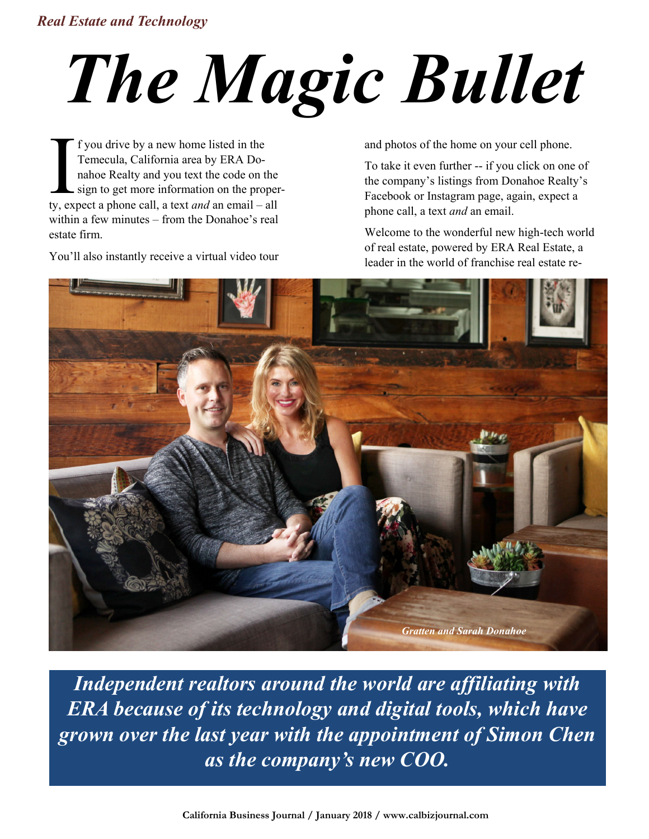## *Real Estate and Technology*

## *The Magic Bullet*

I f you drive by a new home listed in the<br>Temecula, California area by ERA Do-<br>nahoe Realty and you text the code on the<br>sign to get more information on the proper<br>ty, expect a phone call, a text *and* an email – all f you drive by a new home listed in the Temecula, California area by ERA Donahoe Realty and you text the code on the sign to get more information on the properwithin a few minutes – from the Donahoe's real estate firm.

You"ll also instantly receive a virtual video tour

and photos of the home on your cell phone.

To take it even further -- if you click on one of the company"s listings from Donahoe Realty"s Facebook or Instagram page, again, expect a phone call, a text *and* an email.

Welcome to the wonderful new high-tech world of real estate, powered by ERA Real Estate, a leader in the world of franchise real estate re-



*Independent realtors around the world are affiliating with ERA because of its technology and digital tools, which have grown over the last year with the appointment of Simon Chen as the company's new COO.*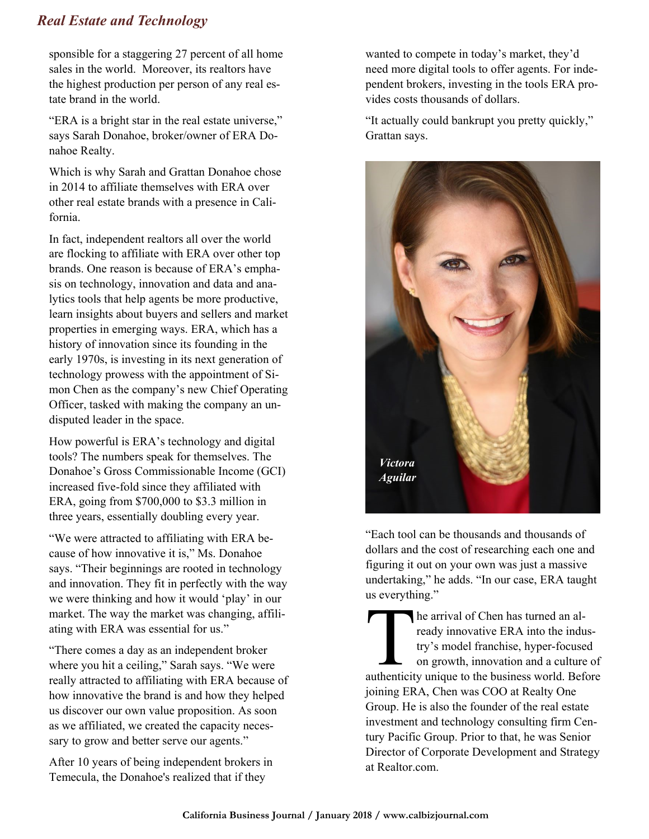## *Real Estate and Technology*

sponsible for a staggering 27 percent of all home sales in the world. Moreover, its realtors have the highest production per person of any real estate brand in the world.

"ERA is a bright star in the real estate universe," says Sarah Donahoe, broker/owner of ERA Donahoe Realty.

Which is why Sarah and Grattan Donahoe chose in 2014 to affiliate themselves with ERA over other real estate brands with a presence in California.

In fact, independent realtors all over the world are flocking to affiliate with ERA over other top brands. One reason is because of ERA's emphasis on technology, innovation and data and analytics tools that help agents be more productive, learn insights about buyers and sellers and market properties in emerging ways. ERA, which has a history of innovation since its founding in the early 1970s, is investing in its next generation of technology prowess with the appointment of Simon Chen as the company"s new Chief Operating Officer, tasked with making the company an undisputed leader in the space.

How powerful is ERA"s technology and digital tools? The numbers speak for themselves. The Donahoe"s Gross Commissionable Income (GCI) increased five-fold since they affiliated with ERA, going from \$700,000 to \$3.3 million in three years, essentially doubling every year.

"We were attracted to affiliating with ERA because of how innovative it is," Ms. Donahoe says. "Their beginnings are rooted in technology and innovation. They fit in perfectly with the way we were thinking and how it would "play" in our market. The way the market was changing, affiliating with ERA was essential for us."

"There comes a day as an independent broker where you hit a ceiling," Sarah says. "We were really attracted to affiliating with ERA because of how innovative the brand is and how they helped us discover our own value proposition. As soon as we affiliated, we created the capacity necessary to grow and better serve our agents."

After 10 years of being independent brokers in Temecula, the Donahoe's realized that if they

wanted to compete in today's market, they'd need more digital tools to offer agents. For independent brokers, investing in the tools ERA provides costs thousands of dollars.

"It actually could bankrupt you pretty quickly," Grattan says.



"Each tool can be thousands and thousands of dollars and the cost of researching each one and figuring it out on your own was just a massive undertaking," he adds. "In our case, ERA taught us everything."

The arrival of Chen has turned an already innovative ERA into the indus-<br>try's model franchise, hyper-focused<br>on growth, innovation and a culture of<br>authenticity unique to the business world. Before he arrival of Chen has turned an already innovative ERA into the industry"s model franchise, hyper-focused on growth, innovation and a culture of joining ERA, Chen was COO at Realty One Group. He is also the founder of the real estate investment and technology consulting firm Century Pacific Group. Prior to that, he was Senior Director of Corporate Development and Strategy at Realtor.com.